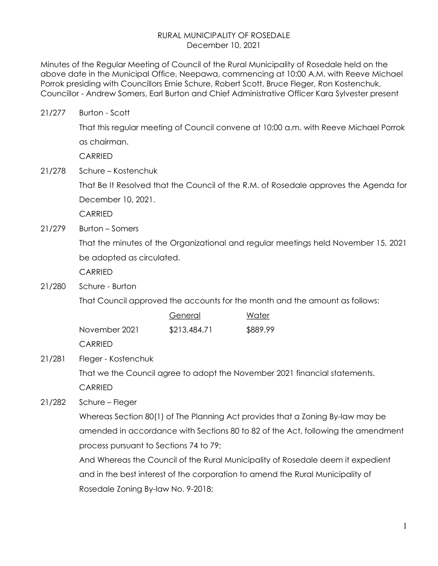#### RURAL MUNICIPALITY OF ROSEDALE December 10, 2021

Minutes of the Regular Meeting of Council of the Rural Municipality of Rosedale held on the above date in the Municipal Office, Neepawa, commencing at 10:00 A.M. with Reeve Michael Porrok presiding with Councillors Ernie Schure, Robert Scott, Bruce Fleger, Ron Kostenchuk, Councillor - Andrew Somers, Earl Burton and Chief Administrative Officer Kara Sylvester present

21/277 Burton - Scott

 That this regular meeting of Council convene at 10:00 a.m. with Reeve Michael Porrok as chairman.

**CARRIED** 

21/278 Schure – Kostenchuk

 That Be It Resolved that the Council of the R.M. of Rosedale approves the Agenda for December 10, 2021.

CARRIED

21/279 Burton – Somers

 That the minutes of the Organizational and regular meetings held November 15, 2021 be adopted as circulated.

**CARRIED** 

21/280 Schure - Burton

That Council approved the accounts for the month and the amount as follows:

|                | General      | Water    |
|----------------|--------------|----------|
| November 2021  | \$213,484.71 | \$889.99 |
| <b>CARRIFD</b> |              |          |

21/281 Fleger - Kostenchuk

 That we the Council agree to adopt the November 2021 financial statements. CARRIED

21/282 Schure – Fleger

 Whereas Section 80(1) of The Planning Act provides that a Zoning By-law may be amended in accordance with Sections 80 to 82 of the Act, following the amendment process pursuant to Sections 74 to 79;

 And Whereas the Council of the Rural Municipality of Rosedale deem it expedient and in the best interest of the corporation to amend the Rural Municipality of Rosedale Zoning By-law No. 9-2018;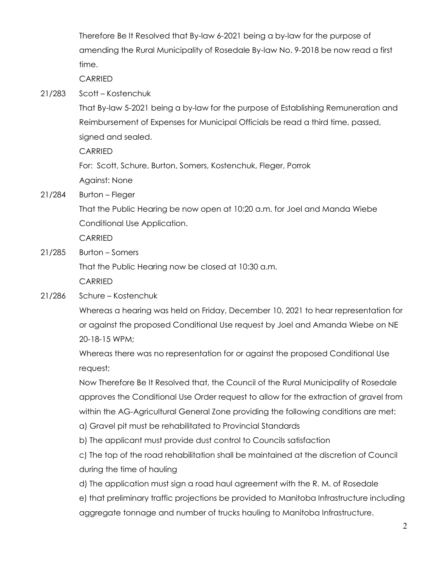Therefore Be It Resolved that By-law 6-2021 being a by-law for the purpose of amending the Rural Municipality of Rosedale By-law No. 9-2018 be now read a first time.

**CARRIED** 

21/283 Scott – Kostenchuk

 That By-law 5-2021 being a by-law for the purpose of Establishing Remuneration and Reimbursement of Expenses for Municipal Officials be read a third time, passed, signed and sealed.

CARRIED

 For: Scott, Schure, Burton, Somers, Kostenchuk, Fleger, Porrok Against: None

21/284 Burton – Fleger

 That the Public Hearing be now open at 10:20 a.m. for Joel and Manda Wiebe Conditional Use Application.

CARRIED

21/285 Burton – Somers

That the Public Hearing now be closed at 10:30 a.m.

CARRIED

21/286 Schure – Kostenchuk

 Whereas a hearing was held on Friday, December 10, 2021 to hear representation for or against the proposed Conditional Use request by Joel and Amanda Wiebe on NE 20-18-15 WPM;

 Whereas there was no representation for or against the proposed Conditional Use request;

 Now Therefore Be It Resolved that, the Council of the Rural Municipality of Rosedale approves the Conditional Use Order request to allow for the extraction of gravel from within the AG-Agricultural General Zone providing the following conditions are met:

- a) Gravel pit must be rehabilitated to Provincial Standards
- b) The applicant must provide dust control to Councils satisfaction

 c) The top of the road rehabilitation shall be maintained at the discretion of Council during the time of hauling

d) The application must sign a road haul agreement with the R. M. of Rosedale

 e) that preliminary traffic projections be provided to Manitoba Infrastructure including aggregate tonnage and number of trucks hauling to Manitoba Infrastructure.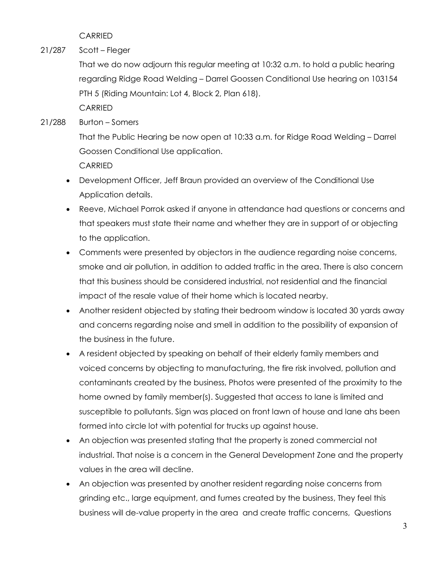CARRIED

21/287 Scott – Fleger

 That we do now adjourn this regular meeting at 10:32 a.m. to hold a public hearing regarding Ridge Road Welding – Darrel Goossen Conditional Use hearing on 103154 PTH 5 (Riding Mountain: Lot 4, Block 2, Plan 618).

CARRIED

### 21/288 Burton – Somers

 That the Public Hearing be now open at 10:33 a.m. for Ridge Road Welding – Darrel Goossen Conditional Use application.

**CARRIED** 

- Development Officer, Jeff Braun provided an overview of the Conditional Use Application details.
- Reeve, Michael Porrok asked if anyone in attendance had questions or concerns and that speakers must state their name and whether they are in support of or objecting to the application.
- Comments were presented by objectors in the audience regarding noise concerns, smoke and air pollution, in addition to added traffic in the area. There is also concern that this business should be considered industrial, not residential and the financial impact of the resale value of their home which is located nearby.
- Another resident objected by stating their bedroom window is located 30 yards away and concerns regarding noise and smell in addition to the possibility of expansion of the business in the future.
- A resident objected by speaking on behalf of their elderly family members and voiced concerns by objecting to manufacturing, the fire risk involved, pollution and contaminants created by the business, Photos were presented of the proximity to the home owned by family member(s). Suggested that access to lane is limited and susceptible to pollutants. Sign was placed on front lawn of house and lane ahs been formed into circle lot with potential for trucks up against house.
- An objection was presented stating that the property is zoned commercial not industrial. That noise is a concern in the General Development Zone and the property values in the area will decline.
- An objection was presented by another resident regarding noise concerns from grinding etc., large equipment, and fumes created by the business, They feel this business will de-value property in the area and create traffic concerns, Questions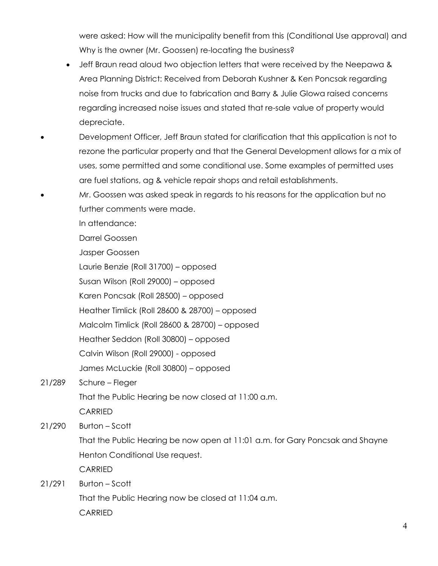were asked: How will the municipality benefit from this (Conditional Use approval) and Why is the owner (Mr. Goossen) re-locating the business?

- Jeff Braun read aloud two objection letters that were received by the Neepawa & Area Planning District: Received from Deborah Kushner & Ken Poncsak regarding noise from trucks and due to fabrication and Barry & Julie Glowa raised concerns regarding increased noise issues and stated that re-sale value of property would depreciate.
- Development Officer, Jeff Braun stated for clarification that this application is not to rezone the particular property and that the General Development allows for a mix of uses, some permitted and some conditional use. Some examples of permitted uses are fuel stations, ag & vehicle repair shops and retail establishments.
- Mr. Goossen was asked speak in regards to his reasons for the application but no further comments were made.

In attendance:

Darrel Goossen

Jasper Goossen

Laurie Benzie (Roll 31700) – opposed

Susan Wilson (Roll 29000) – opposed

Karen Poncsak (Roll 28500) – opposed

Heather Timlick (Roll 28600 & 28700) – opposed

Malcolm Timlick (Roll 28600 & 28700) – opposed

Heather Seddon (Roll 30800) – opposed

Calvin Wilson (Roll 29000) - opposed

James McLuckie (Roll 30800) – opposed

# 21/289 Schure – Fleger

That the Public Hearing be now closed at 11:00 a.m.

**CARRIED** 

21/290 Burton – Scott

 That the Public Hearing be now open at 11:01 a.m. for Gary Poncsak and Shayne Henton Conditional Use request.

CARRIED

21/291 Burton – Scott

 That the Public Hearing now be closed at 11:04 a.m. **CARRIED**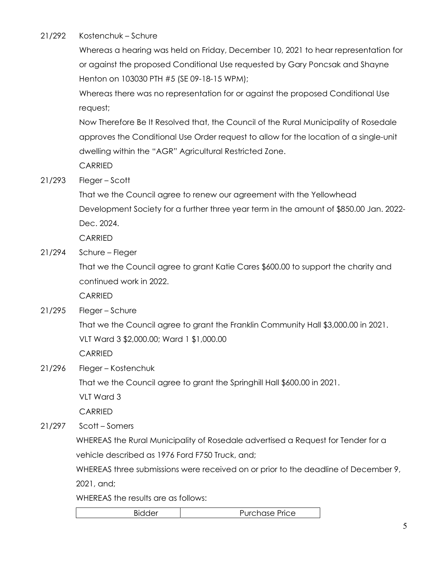#### 21/292 Kostenchuk – Schure

 Whereas a hearing was held on Friday, December 10, 2021 to hear representation for or against the proposed Conditional Use requested by Gary Poncsak and Shayne Henton on 103030 PTH #5 (SE 09-18-15 WPM);

 Whereas there was no representation for or against the proposed Conditional Use request;

 Now Therefore Be It Resolved that, the Council of the Rural Municipality of Rosedale approves the Conditional Use Order request to allow for the location of a single-unit dwelling within the "AGR" Agricultural Restricted Zone.

**CARRIED** 

#### 21/293 Fleger – Scott

 That we the Council agree to renew our agreement with the Yellowhead Development Society for a further three year term in the amount of \$850.00 Jan. 2022- Dec. 2024.

CARRIED

21/294 Schure – Fleger

 That we the Council agree to grant Katie Cares \$600.00 to support the charity and continued work in 2022.

CARRIED

21/295 Fleger – Schure

That we the Council agree to grant the Franklin Community Hall \$3,000.00 in 2021.

VLT Ward 3 \$2,000.00; Ward 1 \$1,000.00

CARRIED

21/296 Fleger – Kostenchuk

That we the Council agree to grant the Springhill Hall \$600.00 in 2021.

VLT Ward 3

CARRIED

21/297 Scott – Somers

WHEREAS the Rural Municipality of Rosedale advertised a Request for Tender for a vehicle described as 1976 Ford F750 Truck, and;

WHEREAS three submissions were received on or prior to the deadline of December 9, 2021, and;

WHEREAS the results are as follows:

Bidder | Purchase Price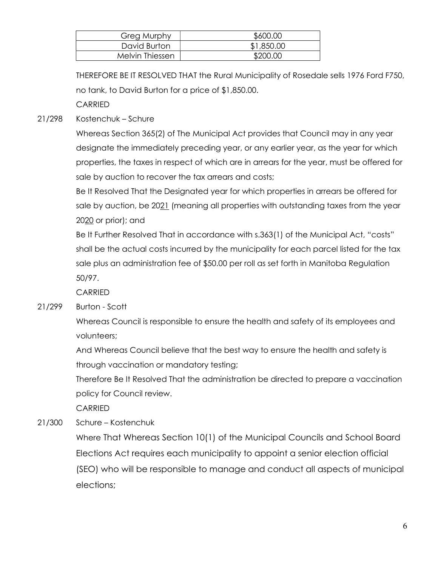| <b>Greg Murphy</b> | \$600.00   |
|--------------------|------------|
| David Burton       | \$1,850.00 |
| Melvin Thiessen    | \$200.00   |

THEREFORE BE IT RESOLVED THAT the Rural Municipality of Rosedale sells 1976 Ford F750, no tank, to David Burton for a price of \$1,850.00.

CARRIED

## 21/298 Kostenchuk – Schure

 Whereas Section 365(2) of The Municipal Act provides that Council may in any year designate the immediately preceding year, or any earlier year, as the year for which properties, the taxes in respect of which are in arrears for the year, must be offered for sale by auction to recover the tax arrears and costs;

 Be It Resolved That the Designated year for which properties in arrears be offered for sale by auction, be 2021 (meaning all properties with outstanding taxes from the year 2020 or prior); and

 Be It Further Resolved That in accordance with s.363(1) of the Municipal Act, "costs" shall be the actual costs incurred by the municipality for each parcel listed for the tax sale plus an administration fee of \$50.00 per roll as set forth in Manitoba Regulation 50/97.

CARRIED

21/299 Burton - Scott

 Whereas Council is responsible to ensure the health and safety of its employees and volunteers;

 And Whereas Council believe that the best way to ensure the health and safety is through vaccination or mandatory testing;

 Therefore Be It Resolved That the administration be directed to prepare a vaccination policy for Council review.

CARRIED

21/300 Schure – Kostenchuk

Where That Whereas Section 10(1) of the Municipal Councils and School Board Elections Act requires each municipality to appoint a senior election official (SEO) who will be responsible to manage and conduct all aspects of municipal elections;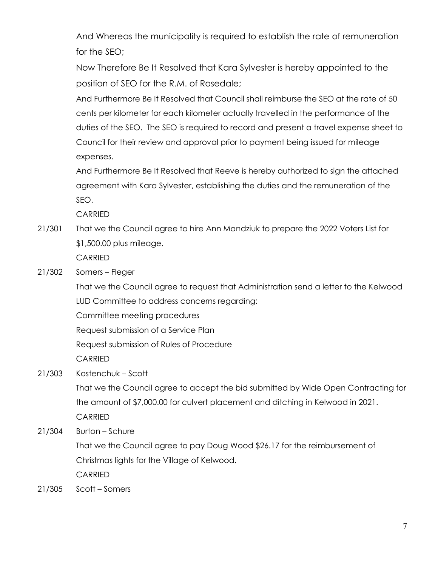And Whereas the municipality is required to establish the rate of remuneration for the SEO;

Now Therefore Be It Resolved that Kara Sylvester is hereby appointed to the position of SEO for the R.M. of Rosedale;

 And Furthermore Be It Resolved that Council shall reimburse the SEO at the rate of 50 cents per kilometer for each kilometer actually travelled in the performance of the duties of the SEO. The SEO is required to record and present a travel expense sheet to Council for their review and approval prior to payment being issued for mileage expenses.

 And Furthermore Be It Resolved that Reeve is hereby authorized to sign the attached agreement with Kara Sylvester, establishing the duties and the remuneration of the SEO.

CARRIED

21/301 That we the Council agree to hire Ann Mandziuk to prepare the 2022 Voters List for \$1,500.00 plus mileage.

CARRIED

21/302 Somers – Fleger

 That we the Council agree to request that Administration send a letter to the Kelwood LUD Committee to address concerns regarding:

Committee meeting procedures

Request submission of a Service Plan

Request submission of Rules of Procedure

CARRIED

21/303 Kostenchuk – Scott

 That we the Council agree to accept the bid submitted by Wide Open Contracting for the amount of \$7,000.00 for culvert placement and ditching in Kelwood in 2021. CARRIED

21/304 Burton – Schure

 That we the Council agree to pay Doug Wood \$26.17 for the reimbursement of Christmas lights for the Village of Kelwood.

CARRIED

21/305 Scott – Somers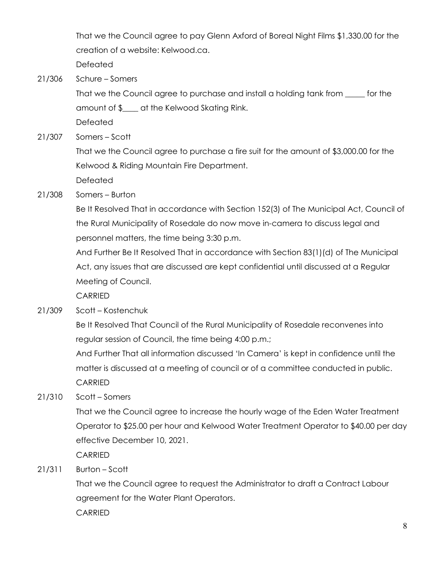That we the Council agree to pay Glenn Axford of Boreal Night Films \$1,330.00 for the creation of a website: Kelwood.ca.

Defeated

21/306 Schure – Somers

 That we the Council agree to purchase and install a holding tank from \_\_\_\_\_ for the amount of \$\_\_\_\_ at the Kelwood Skating Rink.

Defeated

21/307 Somers – Scott

 That we the Council agree to purchase a fire suit for the amount of \$3,000.00 for the Kelwood & Riding Mountain Fire Department.

Defeated

21/308 Somers – Burton

 Be It Resolved That in accordance with Section 152(3) of The Municipal Act, Council of the Rural Municipality of Rosedale do now move in-camera to discuss legal and personnel matters, the time being 3:30 p.m.

 And Further Be It Resolved That in accordance with Section 83(1)(d) of The Municipal Act, any issues that are discussed are kept confidential until discussed at a Regular Meeting of Council.

CARRIED

21/309 Scott – Kostenchuk

 Be It Resolved That Council of the Rural Municipality of Rosedale reconvenes into regular session of Council, the time being 4:00 p.m.;

 And Further That all information discussed 'In Camera' is kept in confidence until the matter is discussed at a meeting of council or of a committee conducted in public. CARRIED

21/310 Scott – Somers

 That we the Council agree to increase the hourly wage of the Eden Water Treatment Operator to \$25.00 per hour and Kelwood Water Treatment Operator to \$40.00 per day effective December 10, 2021.

CARRIED

21/311 Burton – Scott

 That we the Council agree to request the Administrator to draft a Contract Labour agreement for the Water Plant Operators. CARRIED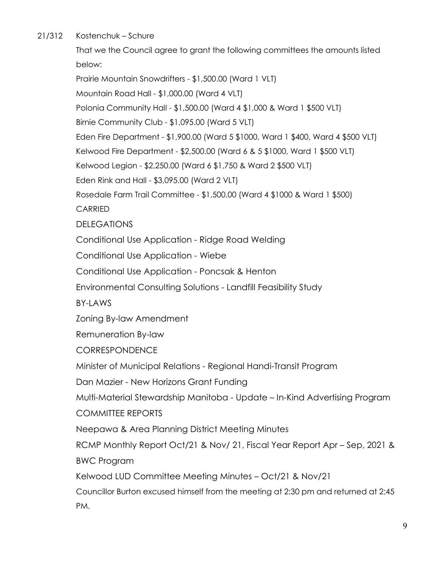21/312 Kostenchuk – Schure

 That we the Council agree to grant the following committees the amounts listed below:

 Prairie Mountain Snowdrifters - \$1,500.00 (Ward 1 VLT) Mountain Road Hall - \$1,000.00 (Ward 4 VLT) Polonia Community Hall - \$1,500.00 (Ward 4 \$1,000 & Ward 1 \$500 VLT) Birnie Community Club - \$1,095.00 (Ward 5 VLT) Eden Fire Department - \$1,900.00 (Ward 5 \$1000, Ward 1 \$400, Ward 4 \$500 VLT) Kelwood Fire Department - \$2,500.00 (Ward 6 & 5 \$1000, Ward 1 \$500 VLT) Kelwood Legion - \$2,250.00 (Ward 6 \$1,750 & Ward 2 \$500 VLT) Eden Rink and Hall - \$3,095.00 (Ward 2 VLT) Rosedale Farm Trail Committee - \$1,500.00 (Ward 4 \$1000 & Ward 1 \$500) CARRIED **DELEGATIONS** Conditional Use Application - Ridge Road Welding Conditional Use Application - Wiebe Conditional Use Application - Poncsak & Henton Environmental Consulting Solutions - Landfill Feasibility Study BY-LAWS Zoning By-law Amendment Remuneration By-law CORRESPONDENCE Minister of Municipal Relations - Regional Handi-Transit Program Dan Mazier - New Horizons Grant Funding Multi-Material Stewardship Manitoba - Update – In-Kind Advertising Program COMMITTEE REPORTS Neepawa & Area Planning District Meeting Minutes RCMP Monthly Report Oct/21 & Nov/ 21, Fiscal Year Report Apr – Sep, 2021 & BWC Program

Kelwood LUD Committee Meeting Minutes – Oct/21 & Nov/21

 Councillor Burton excused himself from the meeting at 2:30 pm and returned at 2:45 PM.